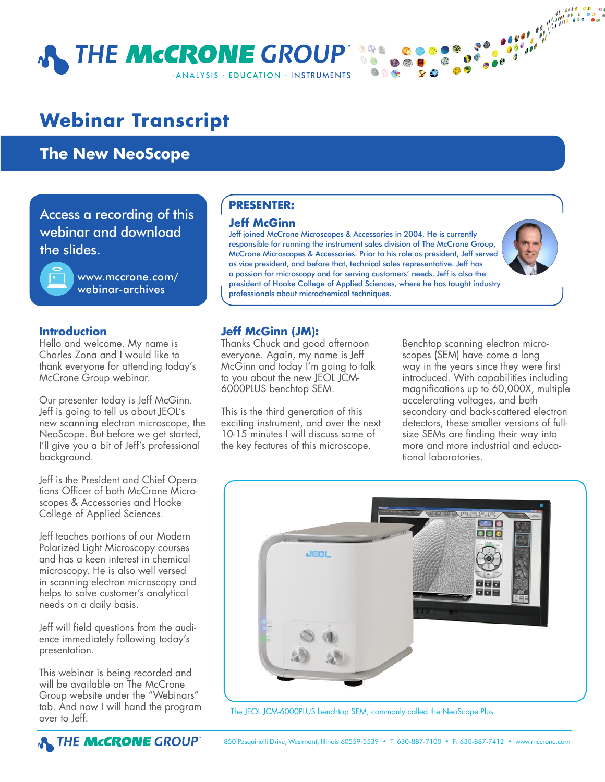



# **Webinar Transcript**

**The New NeoScope**

Access a recording of this webinar and download the slides.



www.mccrone.com/ webinar-archives

### **Introduction**

Hello and welcome. My name is Charles Zona and I would like to thank everyone for attending today's McCrone Group webinar.

Our presenter today is Jeff McGinn. Jeff is going to tell us about JEOL's new scanning electron microscope, the NeoScope. But before we get started, I'll give you a bit of Jeff's professional background.

Jeff is the President and Chief Operations Officer of both McCrone Microscopes & Accessories and Hooke College of Applied Sciences.

Jeff teaches portions of our Modern Polarized Light Microscopy courses and has a keen interest in chemical microscopy. He is also well versed in scanning electron microscopy and helps to solve customer's analytical needs on a daily basis.

Jeff will field questions from the audience immediately following today's presentation.

This webinar is being recorded and will be available on The McCrone Group website under the "Webinars" tab. And now I will hand the program over to Jeff.

# **PRESENTER:**

#### **Jeff McGinn**

Jeff joined McCrone Microscopes & Accessories in 2004. He is currently responsible for running the instrument sales division of The McCrone Group, McCrone Microscopes & Accessories. Prior to his role as president, Jeff served as vice president, and before that, technical sales representative. Jeff has a passion for microscopy and for serving customers' needs. Jeff is also the president of Hooke College of Applied Sciences, where he has taught industry professionals about microchemical techniques.



## **Jeff McGinn (JM):**

Thanks Chuck and good afternoon everyone. Again, my name is Jeff McGinn and today I'm going to talk to you about the new JEOL JCM-6000PLUS benchtop SEM.

This is the third generation of this exciting instrument, and over the next 10-15 minutes I will discuss some of the key features of this microscope.

Benchtop scanning electron microscopes (SEM) have come a long way in the years since they were first introduced. With capabilities including magnifications up to 60,000X, multiple accelerating voltages, and both secondary and back-scattered electron detectors, these smaller versions of fullsize SEMs are finding their way into more and more industrial and educational laboratories.



The JEOL JCM-6000PLUS benchtop SEM, commonly called the NeoScope Plus.

**N** THE MCCRONE GROUP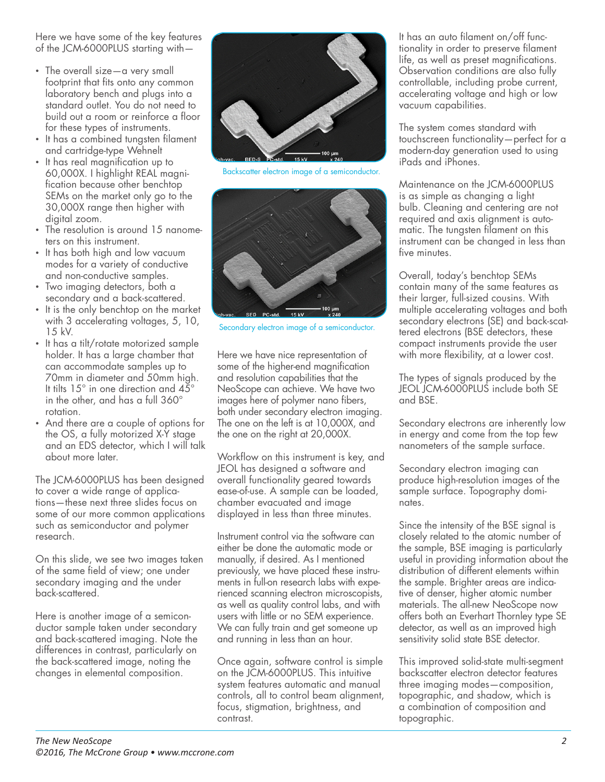Here we have some of the key features of the JCM-6000PLUS starting with—

- The overall size a very small footprint that fits onto any common laboratory bench and plugs into a standard outlet. You do not need to build out a room or reinforce a floor for these types of instruments.
- It has a combined tungsten filament and cartridge-type Wehnelt
- It has real magnification up to 60,000X. I highlight REAL magnification because other benchtop SEMs on the market only go to the 30,000X range then higher with digital zoom.
- The resolution is around 15 nanometers on this instrument.
- It has both high and low vacuum modes for a variety of conductive and non-conductive samples.
- Two imaging detectors, both a secondary and a back-scattered.
- It is the only benchtop on the market with 3 accelerating voltages, 5, 10, 15 kV.
- It has a tilt/rotate motorized sample holder. It has a large chamber that can accommodate samples up to 70mm in diameter and 50mm high. It tilts 15° in one direction and 45° in the other, and has a full 360° rotation.
- And there are a couple of options for the OS, a fully motorized X-Y stage and an EDS detector, which I will talk about more later.

The JCM-6000PLUS has been designed to cover a wide range of applications—these next three slides focus on some of our more common applications such as semiconductor and polymer research.

On this slide, we see two images taken of the same field of view; one under secondary imaging and the under back-scattered.

Here is another image of a semiconductor sample taken under secondary and back-scattered imaging. Note the differences in contrast, particularly on the back-scattered image, noting the changes in elemental composition.



Backscatter electron image of a semiconductor.



Secondary electron image of a semiconductor.

Here we have nice representation of some of the higher-end magnification and resolution capabilities that the NeoScope can achieve. We have two images here of polymer nano fibers, both under secondary electron imaging. The one on the left is at 10,000X, and the one on the right at 20,000X.

Workflow on this instrument is key, and JEOL has designed a software and overall functionality geared towards ease-of-use. A sample can be loaded, chamber evacuated and image displayed in less than three minutes.

Instrument control via the software can either be done the automatic mode or manually, if desired. As I mentioned previously, we have placed these instruments in full-on research labs with experienced scanning electron microscopists, as well as quality control labs, and with users with little or no SEM experience. We can fully train and get someone up and running in less than an hour.

Once again, software control is simple on the JCM-6000PLUS. This intuitive system features automatic and manual controls, all to control beam alignment, focus, stigmation, brightness, and contrast.

It has an auto filament on/off functionality in order to preserve filament life, as well as preset magnifications. Observation conditions are also fully controllable, including probe current, accelerating voltage and high or low vacuum capabilities.

The system comes standard with touchscreen functionality—perfect for a modern-day generation used to using iPads and iPhones.

Maintenance on the JCM-6000PLUS is as simple as changing a light bulb. Cleaning and centering are not required and axis alignment is automatic. The tungsten filament on this instrument can be changed in less than five minutes.

Overall, today's benchtop SEMs contain many of the same features as their larger, full-sized cousins. With multiple accelerating voltages and both secondary electrons (SE) and back-scattered electrons (BSE detectors, these compact instruments provide the user with more flexibility, at a lower cost.

The types of signals produced by the JEOL JCM-6000PLUS include both SE and BSE.

Secondary electrons are inherently low in energy and come from the top few nanometers of the sample surface.

Secondary electron imaging can produce high-resolution images of the sample surface. Topography dominates.

Since the intensity of the BSE signal is closely related to the atomic number of the sample, BSE imaging is particularly useful in providing information about the distribution of different elements within the sample. Brighter areas are indicative of denser, higher atomic number materials. The all-new NeoScope now offers both an Everhart Thornley type SE detector, as well as an improved high sensitivity solid state BSE detector.

This improved solid-state multi-segment backscatter electron detector features three imaging modes—composition, topographic, and shadow, which is a combination of composition and topographic.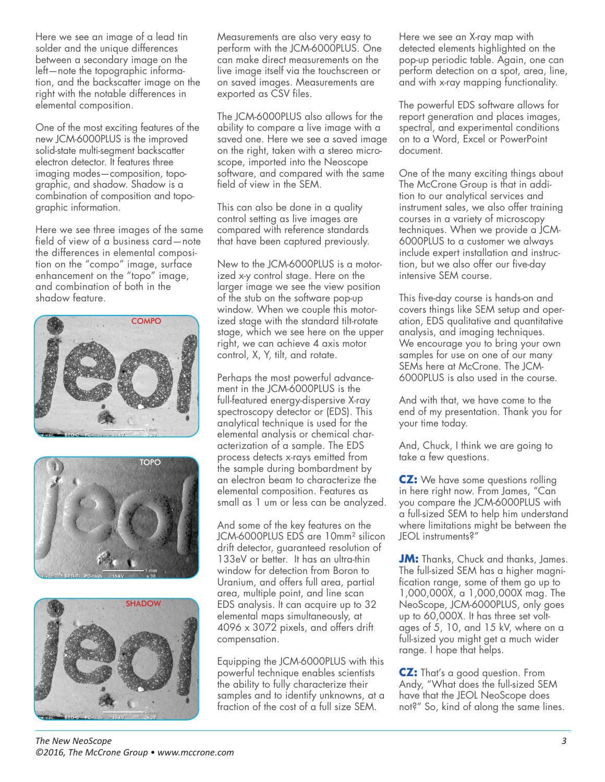Here we see an image of a lead tin solder and the unique differences between a secondary image on the left—note the topographic information, and the backscatter image on the right with the notable differences in elemental composition.

One of the most exciting features of the new JCM-6000PLUS is the improved solid-state multi-segment backscatter electron detector. It features three imaging modes—composition, topographic, and shadow. Shadow is a combination of composition and topographic information.

Here we see three images of the same field of view of a business card—note the differences in elemental composition on the "compo" image, surface enhancement on the "topo" image, and combination of both in the shadow feature.







Measurements are also very easy to perform with the JCM-6000PLUS. One can make direct measurements on the live image itself via the touchscreen or on saved images. Measurements are exported as CSV files.

The JCM-6000PLUS also allows for the ability to compare a live image with a saved one. Here we see a saved image on the right, taken with a stereo microscope, imported into the Neoscope software, and compared with the same field of view in the SEM.

This can also be done in a quality control setting as live images are compared with reference standards that have been captured previously.

New to the JCM-6000PLUS is a motorized x-y control stage. Here on the larger image we see the view position of the stub on the software pop-up window. When we couple this motorized stage with the standard tilt-rotate stage, which we see here on the upper right, we can achieve 4 axis motor control, X, Y, tilt, and rotate.

Perhaps the most powerful advancement in the JCM-6000PLUS is the full-featured energy-dispersive X-ray spectroscopy detector or (EDS). This analytical technique is used for the elemental analysis or chemical characterization of a sample. The EDS process detects x-rays emitted from the sample during bombardment by an electron beam to characterize the elemental composition. Features as small as 1 um or less can be analyzed.

And some of the key features on the JCM-6000PLUS EDS are 10mm² silicon drift detector, guaranteed resolution of 133eV or better. It has an ultra-thin window for detection from Boron to Uranium, and offers full area, partial area, multiple point, and line scan EDS analysis. It can acquire up to 32 elemental maps simultaneously, at 4096 x 3072 pixels, and offers drift compensation.

Equipping the JCM-6000PLUS with this powerful technique enables scientists the ability to fully characterize their samples and to identify unknowns, at a fraction of the cost of a full size SEM.

Here we see an X-ray map with detected elements highlighted on the pop-up periodic table. Again, one can perform detection on a spot, area, line, and with x-ray mapping functionality.

The powerful EDS software allows for report generation and places images, spectral, and experimental conditions on to a Word, Excel or PowerPoint document.

One of the many exciting things about The McCrone Group is that in addition to our analytical services and instrument sales, we also offer training courses in a variety of microscopy techniques. When we provide a JCM-6000PLUS to a customer we always include expert installation and instruction, but we also offer our five-day intensive SEM course.

This five-day course is hands-on and covers things like SEM setup and operation, EDS qualitative and quantitative analysis, and imaging techniques. We encourage you to bring your own samples for use on one of our many SEMs here at McCrone. The JCM-6000PLUS is also used in the course.

And with that, we have come to the end of my presentation. Thank you for your time today.

And, Chuck, I think we are going to take a few questions.

**CZ:** We have some questions rolling in here right now. From James, "Can you compare the JCM-6000PLUS with a full-sized SEM to help him understand where limitations might be between the JEOL instruments?"

**JM:** Thanks, Chuck and thanks, James. The full-sized SEM has a higher magnification range, some of them go up to 1,000,000X, a 1,000,000X mag. The NeoScope, JCM-6000PLUS, only goes up to 60,000X. It has three set voltages of 5, 10, and 15 kV, where on a full-sized you might get a much wider range. I hope that helps.

**CZ:** That's a good question. From Andy, "What does the full-sized SEM have that the JEOL NeoScope does not?" So, kind of along the same lines.